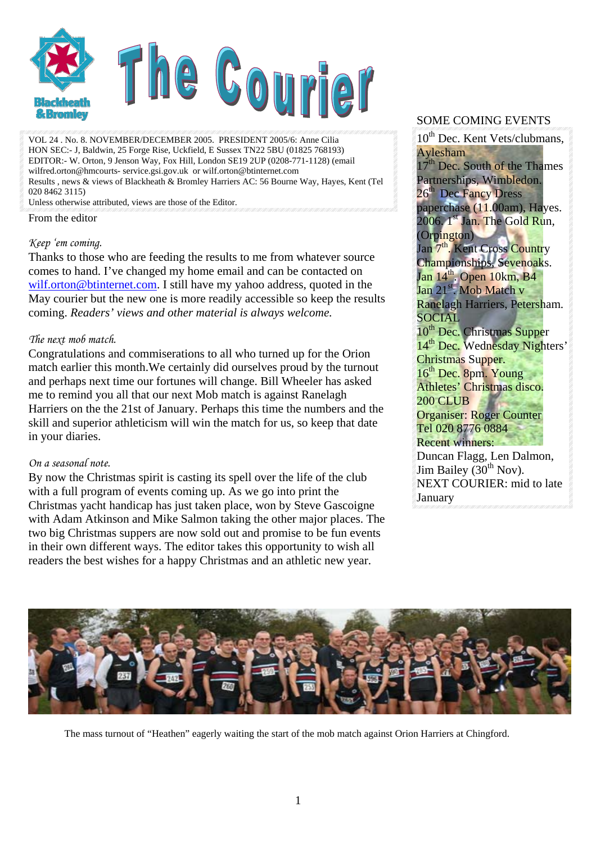

VOL 24 . No. 8. NOVEMBER/DECEMBER 2005. PRESIDENT 2005/6: Anne Cilia HON SEC:- J, Baldwin, 25 Forge Rise, Uckfield, E Sussex TN22 5BU (01825 768193) EDITOR:- W. Orton, 9 Jenson Way, Fox Hill, London SE19 2UP (0208-771-1128) (email wilfred.orton@hmcourts- service.gsi.gov.uk or wilf.orton@btinternet.com Results , news & views of Blackheath & Bromley Harriers AC: 56 Bourne Way, Hayes, Kent (Tel 020 8462 3115)

Unless otherwise attributed, views are those of the Editor.

From the editor

#### *Keep 'em coming.*

Thanks to those who are feeding the results to me from whatever source comes to hand. I've changed my home email and can be contacted on [wilf.orton@btinternet.com.](mailto:wilf.orton@btinternet.com) I still have my yahoo address, quoted in the May courier but the new one is more readily accessible so keep the results coming. *Readers' views and other material is always welcome.* 

#### *The next mob match.*

Congratulations and commiserations to all who turned up for the Orion match earlier this month.We certainly did ourselves proud by the turnout and perhaps next time our fortunes will change. Bill Wheeler has asked me to remind you all that our next Mob match is against Ranelagh Harriers on the the 21st of January. Perhaps this time the numbers and the skill and superior athleticism will win the match for us, so keep that date in your diaries.

#### *On a seasonal note.*

By now the Christmas spirit is casting its spell over the life of the club with a full program of events coming up. As we go into print the Christmas yacht handicap has just taken place, won by Steve Gascoigne with Adam Atkinson and Mike Salmon taking the other major places. The two big Christmas suppers are now sold out and promise to be fun events in their own different ways. The editor takes this opportunity to wish all readers the best wishes for a happy Christmas and an athletic new year.

#### SOME COMING EVENTS

10<sup>th</sup> Dec. Kent Vets/clubmans, Aylesham  $17<sup>th</sup>$  Dec. South of the Thames Partnerships, Wimbledon. 26<sup>th</sup> Dec Fancy Dress paperchase (11.00am), Hayes.  $2006.$   $1^{st}$  Jan. The Gold Run, (Orpington) Jan 7<sup>th</sup>. Kent Cross Country Championships, Sevenoaks. Jan  $14^{\text{th}}$ . Open  $10 \text{km}$ , B4 Jan 21<sup>st</sup>. Mob Match v Ranelagh Harriers, Petersham. SOCIAL 10<sup>th</sup> Dec. Christmas Supper 14<sup>th</sup> Dec. Wednesday Nighters' Christmas Supper. 16<sup>th</sup> Dec. 8pm. Young Athletes' Christmas disco. 200 CLUB Organiser: Roger Counter Tel 020 8776 0884 Recent winners: Duncan Flagg, Len Dalmon, Jim Bailey  $(30<sup>th</sup> Nov)$ . NEXT COURIER: mid to late January



The mass turnout of "Heathen" eagerly waiting the start of the mob match against Orion Harriers at Chingford.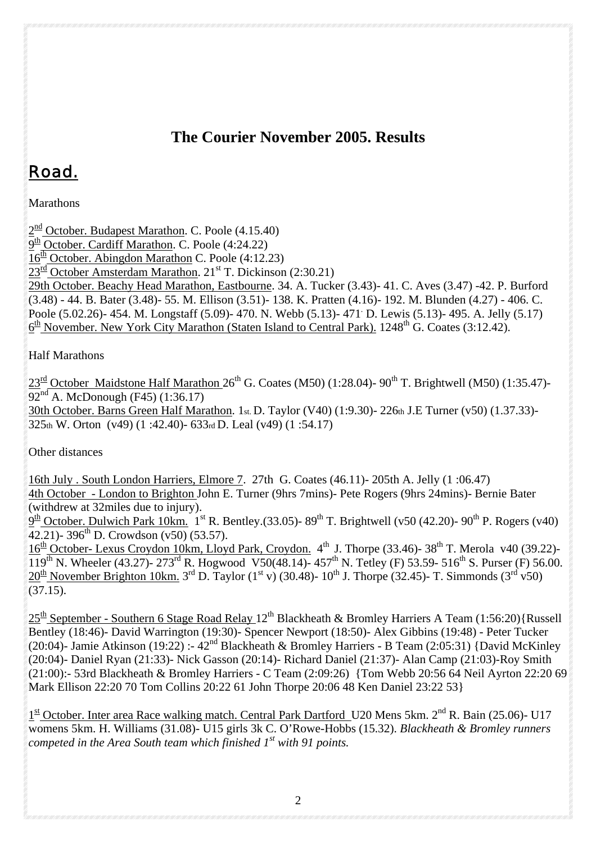### **The Courier November 2005. Results**

# Road.

Marathons

 $2<sup>nd</sup> October. Budapest Marathan. C. Poole (4.15.40)$  $\overline{9^{th}}$  October. Cardiff Marathon. C. Poole (4:24.22)  $16<sup>th</sup>$  October. Abingdon Marathon C. Poole (4:12.23)  $23^{rd}$  October Amsterdam Marathon.  $21^{st}$  T. Dickinson (2:30.21) 29th October. Beachy Head Marathon, Eastbourne. 34. A. Tucker (3.43)- 41. C. Aves (3.47) -42. P. Burford (3.48) - 44. B. Bater (3.48)- 55. M. Ellison (3.51)- 138. K. Pratten (4.16)- 192. M. Blunden (4.27) - 406. C. Poole (5.02.26)- 454. M. Longstaff (5.09)- 470. N. Webb (5.13)- 471 D. Lewis (5.13)- 495. A. Jelly (5.17)  $6<sup>th</sup>$  November. New York City Marathon (Staten Island to Central Park). 1248<sup>th</sup> G. Coates (3:12.42).

### Half Marathons

 $23^{\text{rd}}$  October Maidstone Half Marathon  $26^{\text{th}}$  G. Coates (M50) (1:28.04)- 90<sup>th</sup> T. Brightwell (M50) (1:35.47)- $92<sup>nd</sup>$  A. McDonough (F45) (1:36.17) 30th October. Barns Green Half Marathon. 1st. D. Taylor (V40) (1:9.30)- 226th J.E Turner (v50) (1.37.33)- 325th W. Orton (v49) (1 :42.40)- 633rd D. Leal (v49) (1 :54.17)

Other distances

16th July . South London Harriers, Elmore 7. 27th G. Coates (46.11)- 205th A. Jelly (1 :06.47) 4th October - London to Brighton John E. Turner (9hrs 7mins)- Pete Rogers (9hrs 24mins)- Bernie Bater (withdrew at 32miles due to injury).

 $9<sup>th</sup>$  October. Dulwich Park 10km. 1<sup>st</sup> R. Bentley.(33.05)- 89<sup>th</sup> T. Brightwell (v50 (42.20)- 90<sup>th</sup> P. Rogers (v40)  $\overline{42.21}$  - 396<sup>th</sup> D. Crowdson (v50) (53.57).

 $16<sup>th</sup>$  October- Lexus Croydon 10km, Lloyd Park, Croydon.  $4<sup>th</sup>$  J. Thorpe (33.46)-38<sup>th</sup> T. Merola v40 (39.22)- $119^{\text{th}}$  N. Wheeler (43.27)- 273<sup>rd</sup> R. Hogwood V50(48.14)- 457<sup>th</sup> N. Tetley (F) 53.59- 516<sup>th</sup> S. Purser (F) 56.00.  $20^{th}$  November Brighton 10km. 3<sup>rd</sup> D. Taylor (1<sup>st</sup> v) (30.48)- 10<sup>th</sup> J. Thorpe (32.45)- T. Simmonds (3<sup>rd</sup> v50)  $(37.15).$ 

 $25<sup>th</sup>$  September - Southern 6 Stage Road Relay 12<sup>th</sup> Blackheath & Bromley Harriers A Team (1:56:20){Russell Bentley (18:46)- David Warrington (19:30)- Spencer Newport (18:50)- Alex Gibbins (19:48) - Peter Tucker (20:04)- Jamie Atkinson (19:22) :-  $42^{nd}$  Blackheath & Bromley Harriers - B Team (2:05:31) {David McKinley (20:04)- Daniel Ryan (21:33)- Nick Gasson (20:14)- Richard Daniel (21:37)- Alan Camp (21:03)-Roy Smith (21:00):- 53rd Blackheath & Bromley Harriers - C Team (2:09:26) {Tom Webb 20:56 64 Neil Ayrton 22:20 69 Mark Ellison 22:20 70 Tom Collins 20:22 61 John Thorpe 20:06 48 Ken Daniel 23:22 53}

 $1^{\text{st}}$  October. Inter area Race walking match. Central Park Dartford U20 Mens 5km.  $2^{\text{nd}}$  R. Bain (25.06)- U17 womens 5km. H. Williams (31.08)- U15 girls 3k C. O'Rowe-Hobbs (15.32). *Blackheath & Bromley runners competed in the Area South team which finished 1st with 91 points.*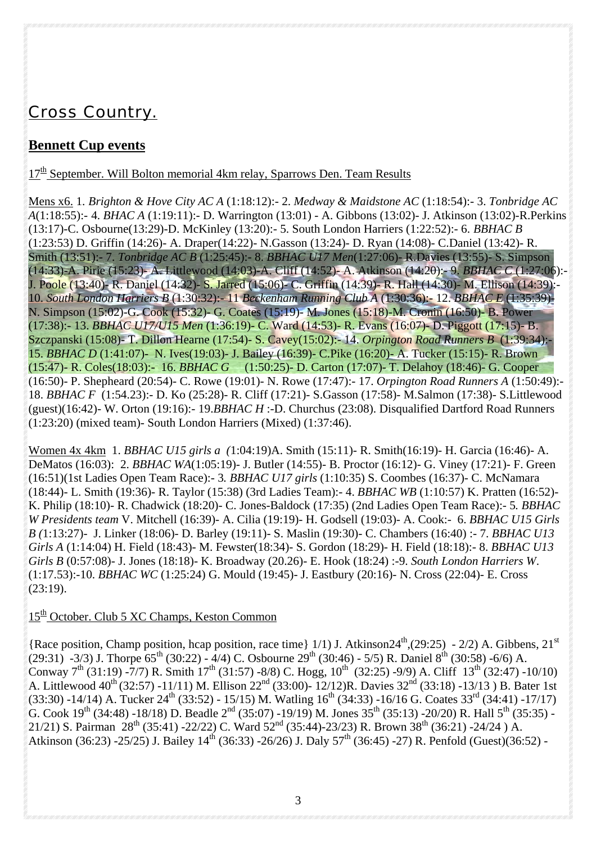## *Cross Country.*

### **Bennett Cup events**

 $17<sup>th</sup>$  September. Will Bolton memorial 4km relay, Sparrows Den. Team Results

Mens x6. 1. *Brighton & Hove City AC A* (1:18:12):- 2. *Medway & Maidstone AC* (1:18:54):- 3. *Tonbridge AC A*(1:18:55):- 4. *BHAC A* (1:19:11):- D. Warrington (13:01) - A. Gibbons (13:02)- J. Atkinson (13:02)-R.Perkins (13:17)-C. Osbourne(13:29)-D. McKinley (13:20):- 5. South London Harriers (1:22:52):- 6. *BBHAC B* (1:23:53) D. Griffin (14:26)- A. Draper(14:22)- N.Gasson (13:24)- D. Ryan (14:08)- C.Daniel (13:42)- R. Smith (13:51):- 7. *Tonbridge AC B* (1:25:45):- 8. *BBHAC U17 Men*(1:27:06)- R.Davies (13:55)- S. Simpson (14:33)-A. Pirie (15:23)- A. Littlewood (14:03)-A. Cliff (14:52)- A. Atkinson (14:20):- 9. *BBHAC C* (1:27:06):- J. Poole (13:40)- R. Daniel (14:32)- S. Jarred (15:06)- C. Griffin (14:39)- R. Hall (14:30)- M. Ellison (14:39):- 10. *South London Harriers B* (1:30:32):- 11 *Beckenham Running Club A* (1:30:36):- 12. *BBHAC E* (1:35:39)- N. Simpson (15:02)-G. Cook (15:32)- G. Coates (15:19)- M. Jones (15:18)-M. Cronin (16:50)- B. Power (17:38):- 13. *BBHAC U17/U15 Men* (1:36:19)- C. Ward (14:53)- R. Evans (16:07)- D. Piggott (17:15)- B. Szczpanski (15:08)- T. Dillon Hearne (17:54)- S. Cavey(15:02):- 14. *Orpington Road Runners B* (1:39:34):- 15. *BBHAC D* (1:41:07)- N. Ives(19:03)- J. Bailey (16:39)- C.Pike (16:20)- A. Tucker (15:15)- R. Brown (15:47)- R. Coles(18:03):- 16. *BBHAC G* (1:50:25)- D. Carton (17:07)- T. Delahoy (18:46)- G. Cooper (16:50)- P. Shepheard (20:54)- C. Rowe (19:01)- N. Rowe (17:47):- 17. *Orpington Road Runners A* (1:50:49):- 18. *BBHAC F* (1:54.23):- D. Ko (25:28)- R. Cliff (17:21)- S.Gasson (17:58)- M.Salmon (17:38)- S.Littlewood (guest)(16:42)- W. Orton (19:16):- 19.*BBHAC H* :-D. Churchus (23:08). Disqualified Dartford Road Runners (1:23:20) (mixed team)- South London Harriers (Mixed) (1:37:46).

Women 4x 4km 1. *BBHAC U15 girls a (*1:04:19)A. Smith (15:11)- R. Smith(16:19)- H. Garcia (16:46)- A. DeMatos (16:03): 2. *BBHAC WA*(1:05:19)- J. Butler (14:55)- B. Proctor (16:12)- G. Viney (17:21)- F. Green (16:51)(1st Ladies Open Team Race):- 3*. BBHAC U17 girls* (1:10:35) S. Coombes (16:37)- C. McNamara (18:44)- L. Smith (19:36)- R. Taylor (15:38) (3rd Ladies Team):- 4. *BBHAC WB* (1:10:57) K. Pratten (16:52)- K. Philip (18:10)- R. Chadwick (18:20)- C. Jones-Baldock (17:35) (2nd Ladies Open Team Race):- 5*. BBHAC W Presidents team* V. Mitchell (16:39)- A. Cilia (19:19)- H. Godsell (19:03)- A. Cook:- 6. *BBHAC U15 Girls B (*1:13:27)- J. Linker (18:06)- D. Barley (19:11)- S. Maslin (19:30)- C. Chambers (16:40) :- 7. *BBHAC U13 Girls A* (1:14:04) H. Field (18:43)- M. Fewster(18:34)- S. Gordon (18:29)- H. Field (18:18):- 8. *BBHAC U13 Girls B* (0:57:08)- J. Jones (18:18)- K. Broadway (20.26)- E. Hook (18:24) :-9. *South London Harriers W*. (1:17.53):-10. *BBHAC WC* (1:25:24) G. Mould (19:45)- J. Eastbury (20:16)- N. Cross (22:04)- E. Cross (23:19).

### 15<sup>th</sup> October. Club 5 XC Champs, Keston Common

{Race position, Champ position, hcap position, race time} 1/1) J. Atkinson24<sup>th</sup>,(29:25) - 2/2) A. Gibbens, 21<sup>st</sup>  $(29:31)$  -3/3) J. Thorpe 65<sup>th</sup> (30:22) - 4/4) C. Osbourne 29<sup>th</sup> (30:46) - 5/5) R. Daniel 8<sup>th</sup> (30:58) -6/6) A. Conway  $7^{th}$  (31:19) -7/7) R. Smith 17<sup>th</sup> (31:57) -8/8) C. Hogg,  $10^{th}$  (32:25) -9/9) A. Cliff  $13^{th}$  (32:47) -10/10) A. Littlewood 40<sup>th</sup> (32:57) -11/11) M. Ellison 22<sup>nd</sup> (33:00)- 12/12)R. Davies 32<sup>nd</sup> (33:18) -13/13 ) B. Bater 1st  $(33:30)$  -14/14) A. Tucker 24<sup>th</sup> (33:52) - 15/15) M. Watling 16<sup>th</sup> (34:33) -16/16 G. Coates 33<sup>rd</sup> (34:41) -17/17) G. Cook 19<sup>th</sup> (34:48) -18/18) D. Beadle 2<sup>nd</sup> (35:07) -19/19) M. Jones 35<sup>th</sup> (35:13) -20/20) R. Hall 5<sup>th</sup> (35:35) -21/21) S. Pairman  $28^{th}$  (35:41) -22/22) C. Ward  $52^{nd}$  (35:44)-23/23) R. Brown  $38^{th}$  (36:21) -24/24) A. Atkinson (36:23) -25/25) J. Bailey  $14^{th}$  (36:33) -26/26) J. Daly 57<sup>th</sup> (36:45) -27) R. Penfold (Guest)(36:52) -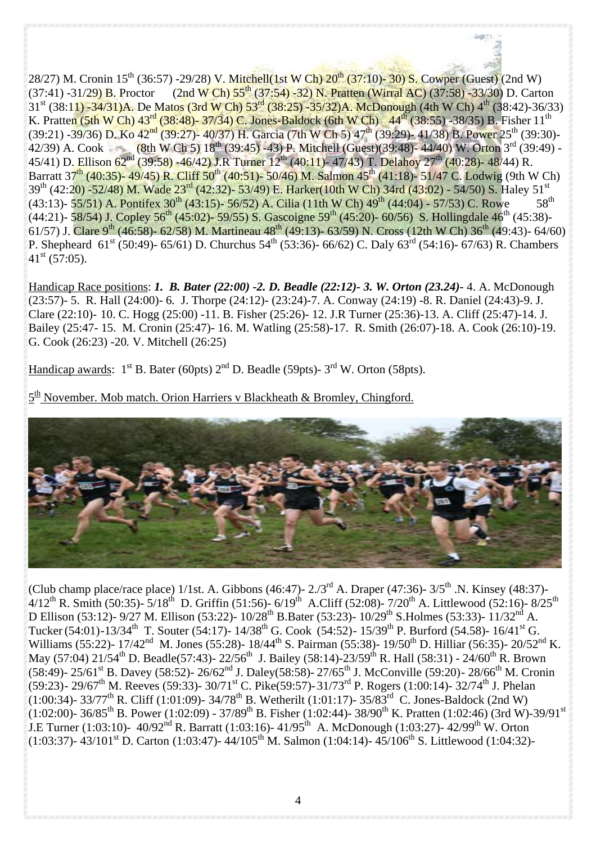28/27) M. Cronin 15<sup>th</sup> (36:57) -29/28) V. Mitchell(1st W Ch) 20<sup>th</sup> (37:10)- 30) S. Cowper (Guest) (2nd W)  $(37:41)$  -31/29) B. Proctor (2nd W Ch) 55<sup>th</sup> (37:54) -32) N. Pratten (Wirral AC) (37:58) -33/30) D. Carton 31st (38:11) -34/31)A. De Matos (3rd W Ch) 53rd (38:25) -35/32)A. McDonough (4th W Ch) 4th (38:42)-36/33) K. Pratten (5th W Ch)  $43^{rd}$  (38:48)- 37/34) C. Jones-Baldock (6th W Ch)  $44^{th}$  (38:55) -38/35) B. Fisher 11<sup>th</sup> (39:21) -39/36) D. Ko 42<sup>nd</sup> (39:27)- 40/37) H. Garcia (7th W Ch 5) 47<sup>th</sup> (39:29)- 41/38) B. Power 25<sup>th</sup> (39:30)-42/39) A. Cook (8th W Ch 5)  $18^{th}$  (39:45) -43) P. Mitchell (Guest)(39:48)- 44/40) W. Orton 3<sup>rd</sup> (39:49) -45/41) D. Ellison 62<sup>nd</sup> (39:58) -46/42) J.R Turner 12<sup>th</sup> (40:11)- 47/43) T. Delahoy 27<sup>th</sup> (40:28)- 48/44) R. Barratt 37<sup>th</sup> (40:35)- 49/45) R. Cliff 50<sup>th</sup> (40:51)- 50/46) M. Salmon 45<sup>th</sup> (41:18)- 51/47 C. Lodwig (9th W Ch)  $39^{th}$  (42:20) -52/48) M. Wade  $23^{rd}$  (42:32)- 53/49) E. Harker(10th W Ch) 34rd (43:02) - 54/50) S. Haley 51<sup>st</sup> (43:13)- 55/51) A. Pontifex 30<sup>th</sup> (43:15)- 56/52) A. Cilia (11th W Ch) 49<sup>th</sup> (44:04) - 57/53) C. Rowe (43:13)- 55/51) A. Pontifex 30<sup>th</sup> (43:15)- 56/52) A. Cilia (11th W Ch) 49<sup>th</sup> (44:04) - 57/53) C. Rowe (44:21)- 58/54) J. Copley 56<sup>th</sup> (45:02)- 59/55) S. Gascoigne 59<sup>th</sup> (45:20)- 60/56) S. Hollingdale 46<sup>th</sup> (45:38)-61/57) J. Clare 9<sup>th</sup> (46:58)- 62/58) M. Martineau 48<sup>th</sup> (49:13)- 63/59) N. Cross (12th W Ch) 36<sup>th</sup> (49:43)- 64/60) P. Shepheard  $61^{\text{st}}$  (50:49)- 65/61) D. Churchus 54<sup>th</sup> (53:36)- 66/62) C. Daly 63<sup>rd</sup> (54:16)- 67/63) R. Chambers  $41^{\rm st}$  (57:05).

Handicap Race positions: *1. B. Bater (22:00) -2. D. Beadle (22:12)- 3. W. Orton (23.24)-* 4. A. McDonough (23:57)- 5. R. Hall (24:00)- 6*.* J. Thorpe (24:12)- (23:24)-7. A. Conway (24:19) -8. R. Daniel (24:43)-9. J. Clare (22:10)- 10. C. Hogg (25:00) -11. B. Fisher (25:26)- 12. J.R Turner (25:36)-13. A. Cliff (25:47)-14. J. Bailey (25:47- 15. M. Cronin (25:47)- 16. M. Watling (25:58)-17. R. Smith (26:07)-18. A. Cook (26:10)-19. G. Cook (26:23) -20*.* V. Mitchell (26:25)

Handicap awards:  $1^{\text{st}}$  B. Bater (60pts)  $2^{\text{nd}}$  D. Beadle (59pts)-  $3^{\text{rd}}$  W. Orton (58pts).

 $5^{\text{th}}$  November. Mob match. Orion Harriers v Blackheath & Bromley, Chingford.



(Club champ place/race place) 1/1st. A. Gibbons (46:47)-  $2.7<sup>rd</sup>$  A. Draper (47:36)-  $3/5<sup>th</sup>$  .N. Kinsey (48:37)- $4/12^{th}$  R. Smith (50:35)-  $5/18^{th}$  D. Griffin (51:56)- 6/19<sup>th</sup> A.Cliff (52:08)- 7/20<sup>th</sup> A. Littlewood (52:16)- 8/25<sup>th</sup> D Ellison (53:12)- 9/27 M. Ellison (53:22)- 10/28<sup>th</sup> B.Bater (53:23)- 10/29<sup>th</sup> S.Holmes (53:33)- 11/32<sup>nd</sup> A. Tucker (54:01)-13/34<sup>th</sup> T. Souter (54:17)- 14/38<sup>th</sup> G. Cook (54:52)- 15/39<sup>th</sup> P. Burford (54.58)- 16/41<sup>st</sup> G. Williams (55:22)- 17/42<sup>nd</sup> M. Jones (55:28)- 18/44<sup>th</sup> S. Pairman (55:38)- 19/50<sup>th</sup> D. Hilliar (56:35)- 20/52<sup>nd</sup> K. May (57:04) 21/54<sup>th</sup> D. Beadle(57:43)- 22/56<sup>th</sup> J. Bailey (58:14)-23/59<sup>th</sup> R. Hall (58:31) - 24/60<sup>th</sup> R. Brown (58:49)- 25/61<sup>st</sup> B. Davey (58:52)- 26/62<sup>nd</sup> J. Daley(58:58)- 27/65<sup>th</sup> J. McConville (59:20)- 28/66<sup>th</sup> M. Cronin (59:23) - 29/67<sup>th</sup> M. Reeves (59:33) - 30/71<sup>st</sup> C. Pike(59:57) - 31/73<sup>rd</sup> P. Rogers (1:00:14) - 32/74<sup>th</sup> J. Phelan  $(1:00:34)$ - 33/77<sup>th</sup> R. Cliff (1:01:09)- 34/78<sup>th</sup> B. Wetherilt (1:01:17)- 35/83<sup>rd</sup> C. Jones-Baldock (2nd W)  $(1:02:00)$ - 36/85<sup>th</sup> B. Power (1:02:09) - 37/89<sup>th</sup> B. Fisher (1:02:44)- 38/90<sup>th</sup> K. Pratten (1:02:46) (3rd W)-39/91<sup>st</sup> J.E Turner (1:03:10)-  $40/92^{nd}$  R. Barratt (1:03:16)-  $41/95^{th}$  A. McDonough (1:03:27)-  $42/99^{th}$  W. Orton  $(1:03:37)$ - 43/101<sup>st</sup> D. Carton (1:03:47)- 44/105<sup>th</sup> M. Salmon (1:04:14)- 45/106<sup>th</sup> S. Littlewood (1:04:32)-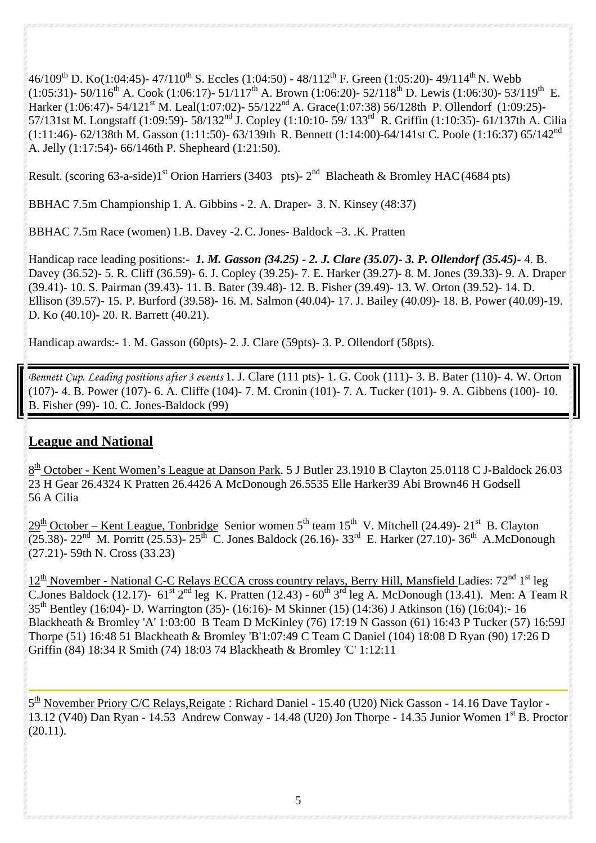46/109<sup>th</sup> D. Ko(1:04:45)- 47/110<sup>th</sup> S. Eccles (1:04:50) - 48/112<sup>th</sup> F. Green (1:05:20)- 49/114<sup>th</sup> N. Webb (1:05:31)- 50/116<sup>th</sup> A. Cook (1:06:17)- 51/117<sup>th</sup> A. Brown (1:06:20)- 52/118<sup>th</sup> D. Lewis (1:06:30)- 53/119<sup>th</sup> E. Harker (1:06:47)- 54/121<sup>st</sup> M. Leal(1:07:02)- 55/122<sup>nd</sup> A. Grace(1:07:38) 56/128th P. Ollendorf (1:09:25)-57/131st M. Longstaff (1:09:59)- 58/132<sup>nd</sup> J. Copley (1:10:10- 59/ 133<sup>rd</sup> R. Griffin (1:10:35)- 61/137th A. Cilia (1:11:46)- 62/138th M. Gasson (1:11:50)- 63/139th R. Bennett (1:14:00)-64/141st C. Poole (1:16:37) 65/142nd A. Jelly (1:17:54)- 66/146th P. Shepheard (1:21:50).

Result. (scoring 63-a-side)1<sup>st</sup> Orion Harriers (3403 pts)-  $2<sup>nd</sup>$  Blacheath & Bromley HAC (4684 pts)

BBHAC 7.5m Championship 1. A. Gibbins - 2. A. Draper- 3. N. Kinsey (48:37)

BBHAC 7.5m Race (women) 1.B. Davey -2. C. Jones- Baldock –3. .K. Pratten

Handicap race leading positions:- *1. M. Gasson (34.25) - 2. J. Clare (35.07)- 3. P. Ollendorf (35.45)-* 4. B. Davey (36.52)- 5. R. Cliff (36.59)- 6. J. Copley (39.25)- 7. E. Harker (39.27)- 8. M. Jones (39.33)- 9. A. Draper (39.41)- 10. S. Pairman (39.43)- 11. B. Bater (39.48)- 12. B. Fisher (39.49)- 13. W. Orton (39.52)- 14. D. Ellison (39.57)- 15. P. Burford (39.58)- 16. M. Salmon (40.04)- 17. J. Bailey (40.09)- 18. B. Power (40.09)-19. D. Ko (40.10)- 20. R. Barrett (40.21).

Handicap awards:- 1. M. Gasson (60pts)- 2. J. Clare (59pts)- 3. P. Ollendorf (58pts).

*Bennett Cup. Leading positions after 3 events* 1. J. Clare (111 pts)- 1. G. Cook (111)- 3. B. Bater (110)- 4. W. Orton (107)- 4. B. Power (107)- 6. A. Cliffe (104)- 7. M. Cronin (101)- 7. A. Tucker (101)- 9. A. Gibbens (100)- 10. B. Fisher (99)- 10. C. Jones-Baldock (99)

### **League and National**

 $8<sup>th</sup>$  October - Kent Women's League at Danson Park. 5 J Butler 23.1910 B Clayton 25.0118 C J-Baldock 26.03 23 H Gear 26.4324 K Pratten 26.4426 A McDonough 26.5535 Elle Harker39 Abi Brown46 H Godsell 56 A Cilia

 $29<sup>th</sup> October - Kent League, Tonbridge Senior women 5<sup>th</sup> team 15<sup>th</sup> V. Mitchell (24.49) - 21<sup>st</sup> B. Clayton$  $(25.38)$ - 22<sup>nd</sup> M. Porritt (25.53)- 25<sup>th</sup> C. Jones Baldock (26.16)- 33<sup>rd</sup> E. Harker (27.10)- 36<sup>th</sup> A.McDonough (27.21)- 59th N. Cross (33.23)

 $12<sup>th</sup>$  November - National C-C Relays ECCA cross country relays, Berry Hill, Mansfield Ladies:  $72<sup>nd</sup> 1<sup>st</sup>$  leg C.Jones Baldock (12.17)-  $61^{\text{st}}$  2<sup>nd</sup> leg K. Pratten (12.43) -  $60^{\text{th}}$  3<sup>rd</sup> leg A. McDonough (13.41). Men: A Team R 35th Bentley (16:04)- D. Warrington (35)- (16:16)- M Skinner (15) (14:36) J Atkinson (16) (16:04):- 16 Blackheath & Bromley 'A' 1:03:00 B Team D McKinley (76) 17:19 N Gasson (61) 16:43 P Tucker (57) 16:59J Thorpe (51) 16:48 51 Blackheath & Bromley 'B'1:07:49 C Team C Daniel (104) 18:08 D Ryan (90) 17:26 D Griffin (84) 18:34 R Smith (74) 18:03 74 Blackheath & Bromley 'C' 1:12:11

5<sup>th</sup> November Priory C/C Relays, Reigate: Richard Daniel - 15.40 (U20) Nick Gasson - 14.16 Dave Taylor -13.12 (V40) Dan Ryan - 14.53 Andrew Conway - 14.48 (U20) Jon Thorpe - 14.35 Junior Women 1st B. Proctor  $(20.11).$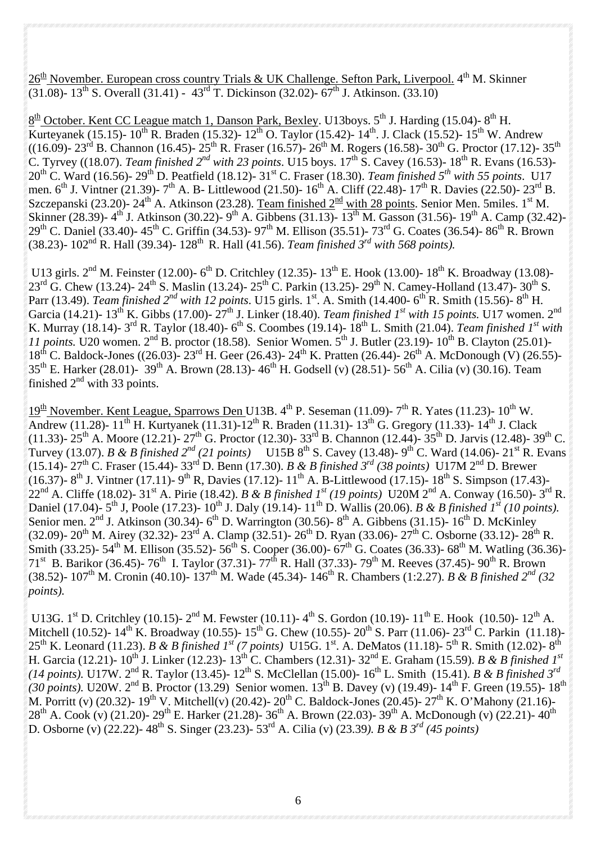$26<sup>th</sup>$  November. European cross country Trials & UK Challenge. Sefton Park, Liverpool. 4<sup>th</sup> M. Skinner  $(31.08)$ - 13<sup>th</sup> S. Overall (31.41) - 43<sup>rd</sup> T. Dickinson (32.02)- 67<sup>th</sup> J. Atkinson. (33.10)

 $8<sup>th</sup>$  October. Kent CC League match 1, Danson Park, Bexley. U13boys. 5<sup>th</sup> J. Harding (15.04)-8<sup>th</sup> H. Kurteyanek (15.15)-  $10^{th}$  R. Braden (15.32)-  $12^{th}$  O. Taylor (15.42)-  $14^{th}$ . J. Clack (15.52)-  $15^{th}$  W. Andrew ((16.09)- 23<sup>rd</sup> B. Channon (16.45)- 25<sup>th</sup> R. Fraser (16.57)- 26<sup>th</sup> M. Rogers (16.58)- 30<sup>th</sup> G. Proctor (17.12)- 35<sup>th</sup> C. Tyrvey ((18.07). *Team finished 2<sup>nd</sup> with 23 points*. U15 boys. 17<sup>th</sup> S. Cavey (16.53)- 18<sup>th</sup> R. Evans (16.53)- $20^{th}$  C. Ward (16.56)-  $29^{th}$  D. Peatfield (18.12)-  $31^{st}$  C. Fraser (18.30). *Team finished*  $5^{th}$  with 55 points. U17 men.  $6^{th}$  J. Vintner (21.39)-  $7^{th}$  A. B- Littlewood (21.50)-  $16^{th}$  A. Cliff (22.48)-  $17^{th}$  R. Davies (22.50)-  $23^{rd}$  B. Szczepanski (23.20)- 24<sup>th</sup> A. Atkinson (23.28). Team finished  $2^{nd}$  with 28 points. Senior Men. 5miles. 1<sup>st</sup> M. Skinner (28.39)- 4<sup>th</sup> J. Atkinson (30.22)- 9<sup>th</sup> A. Gibbens (31.13)-  $13^{th}$  M. Gasson (31.56)- 19<sup>th</sup> A. Camp (32.42)-29<sup>th</sup> C. Daniel (33.40)- 45<sup>th</sup> C. Griffin (34.53)- 97<sup>th</sup> M. Ellison (35.51)- 73<sup>rd</sup> G. Coates (36.54)- 86<sup>th</sup> R. Brown (38.23)-  $102<sup>nd</sup>$  R. Hall (39.34)-  $128<sup>th</sup>$  R. Hall (41.56). *Team finished 3<sup>rd</sup> with 568 points*).

U13 girls.  $2<sup>nd</sup>$  M. Feinster (12.00)- 6<sup>th</sup> D. Critchley (12.35)- 13<sup>th</sup> E. Hook (13.00)- 18<sup>th</sup> K. Broadway (13.08)- $23^{\text{rd}}$  G. Chew (13.24)-  $24^{\text{th}}$  S. Maslin (13.24)-  $25^{\text{th}}$  C. Parkin (13.25)-  $29^{\text{th}}$  N. Camey-Holland (13.47)-  $30^{\text{th}}$  S. Parr (13.49). *Team finished 2<sup>nd</sup> with 12 points*. U15 girls. 1<sup>st</sup>. A. Smith (14.400- 6<sup>th</sup> R. Smith (15.56)- 8<sup>th</sup> H. Garcia (14.21)- 13<sup>th</sup> K. Gibbs (17.00)-  $27<sup>th</sup>$  J. Linker (18.40). *Team finished 1<sup>st</sup> with 15 points*. U17 women. 2<sup>nd</sup> K. Murray (18.14)-  $3^{rd}$  R. Taylor (18.40)-  $6^{th}$  S. Coombes (19.14)-  $18^{th}$  L. Smith (21.04). *Team finished 1<sup>st</sup> with* 11 points. U20 women.  $2<sup>nd</sup>$  B. proctor (18.58). Senior Women. 5<sup>th</sup> J. Butler (23.19)- 10<sup>th</sup> B. Clayton (25.01)- $18^{th}$  C. Baldock-Jones ((26.03)-  $23^{rd}$  H. Geer (26.43)-  $24^{th}$  K. Pratten (26.44)-  $26^{th}$  A. McDonough (V) (26.55)-35<sup>th</sup> E. Harker (28.01)- 39<sup>th</sup> A. Brown (28.13)- 46<sup>th</sup> H. Godsell (v) (28.51)- 56<sup>th</sup> A. Cilia (v) (30.16). Team finished  $2<sup>nd</sup>$  with 33 points.

 $19<sup>th</sup>$  November. Kent League, Sparrows Den U13B.  $4<sup>th</sup>$  P. Seseman (11.09)-  $7<sup>th</sup>$  R. Yates (11.23)-  $10<sup>th</sup>$  W. Andrew (11.28)-  $11^{th}$  H. Kurtyanek (11.31)-12<sup>th</sup> R. Braden (11.31)-13<sup>th</sup> G. Gregory (11.33)-14<sup>th</sup> J. Clack (11.33)-  $25^{th}$  A. Moore (12.21)-  $27^{th}$  G. Proctor (12.30)-  $33^{rd}$  B. Channon (12.44)-  $35^{th}$  D. Jarvis (12.48)-  $39^{th}$  C. Turvey (13.07). *B & B finished 2<sup>nd</sup> (21 points)* U15B 8<sup>th</sup> S. Cavey (13.48)- 9<sup>th</sup> C. Ward (14.06)- 21<sup>st</sup> R. Evans (15.14)- 27<sup>th</sup> C. Fraser (15.44)- 33<sup>rd</sup> D. Benn (17.30). *B & B finished 3<sup>rd</sup> (38 points)* **U17M** 2<sup>nd</sup> D. Brewer (16.37)- 8<sup>th</sup> J. Vintner (17.11)- 9<sup>th</sup> R, Davies (17.12)- 11<sup>th</sup> A. B-Littlewood (17.15)- 18<sup>th</sup> S. Simpson (17.43)-22nd A. Cliffe (18.02)- 31st A. Pirie (18.42). *B & B finished 1st (19 points)* U20M 2nd A. Conway (16.50)- 3rd R. Daniel (17.04)-  $5^{th}$  J, Poole (17.23)-  $10^{th}$  J. Daly (19.14)-  $11^{th}$  D. Wallis (20.06). *B & B finished 1<sup>st</sup> (10 points)*. Senior men.  $2<sup>nd</sup>$  J. Atkinson (30.34)- 6<sup>th</sup> D. Warrington (30.56)- 8<sup>th</sup> A. Gibbens (31.15)- 16<sup>th</sup> D. McKinley (32.09)- 20<sup>th</sup> M. Airey (32.32)- 23<sup>rd</sup> A. Clamp (32.51)- 26<sup>th</sup> D. Ryan (33.06)- 27<sup>th</sup> C. Osborne (33.12)- 28<sup>th</sup> R. Smith (33.25)- 54<sup>th</sup> M. Ellison (35.52)- 56<sup>th</sup> S. Cooper (36.00)- 67<sup>th</sup> G. Coates (36.33)- 68<sup>th</sup> M. Watling (36.36)-71<sup>st</sup> B. Barikor (36.45)- 76<sup>th</sup> I. Taylor (37.31)- 77<sup>th</sup> R. Hall (37.33)- 79<sup>th</sup> M. Reeves (37.45)- 90<sup>th</sup> R. Brown (38.52)- 107th M. Cronin (40.10)- 137th M. Wade (45.34)- 146th R. Chambers (1:2.27). *B & B finished 2nd (32 points).* 

U13G. 1<sup>st</sup> D. Critchley (10.15)- 2<sup>nd</sup> M. Fewster (10.11)- 4<sup>th</sup> S. Gordon (10.19)- 11<sup>th</sup> E. Hook (10.50)- 12<sup>th</sup> A. Mitchell (10.52)-  $14^{th}$  K. Broadway (10.55)-  $15^{th}$  G. Chew (10.55)-  $20^{th}$  S. Parr (11.06)-  $23^{rd}$  C. Parkin (11.18)-25<sup>th</sup> K. Leonard (11.23). *B & B finished 1<sup>st</sup> (7 points)* U15G. 1<sup>st</sup>. A. DeMatos (11.18)- 5<sup>th</sup> R. Smith (12.02)- 8<sup>th</sup> H. Garcia (12.21)- 10<sup>th</sup> J. Linker (12.23)- 13<sup>th</sup> C. Chambers (12.31)- 32<sup>nd</sup> E. Graham (15.59). *B & B finished 1<sup>st</sup> (14 points).* U17W. 2nd R. Taylor (13.45)- 12th S. McClellan (15.00)- 16th L. Smith (15.41). *B & B finished 3rd (30 points).* U20W. 2<sup>nd</sup> B. Proctor (13.29) Senior women. 13<sup>th</sup> B. Davey (v) (19.49)- 14<sup>th</sup> F. Green (19.55)- 18<sup>th</sup> M. Porritt (v) (20.32)- 19<sup>th</sup> V. Mitchell(v) (20.42)- 20<sup>th</sup> C. Baldock-Jones (20.45)- 27<sup>th</sup> K. O'Mahony (21.16)- $28^{th}$  A. Cook (v) (21.20)-  $29^{th}$  E. Harker (21.28)-  $36^{th}$  A. Brown (22.03)-  $39^{th}$  A. McDonough (v) (22.21)-  $40^{th}$ D. Osborne (v) (22.22)- 48th S. Singer (23.23)- 53rd A. Cilia (v) (23.39*). B & B 3rd (45 points)*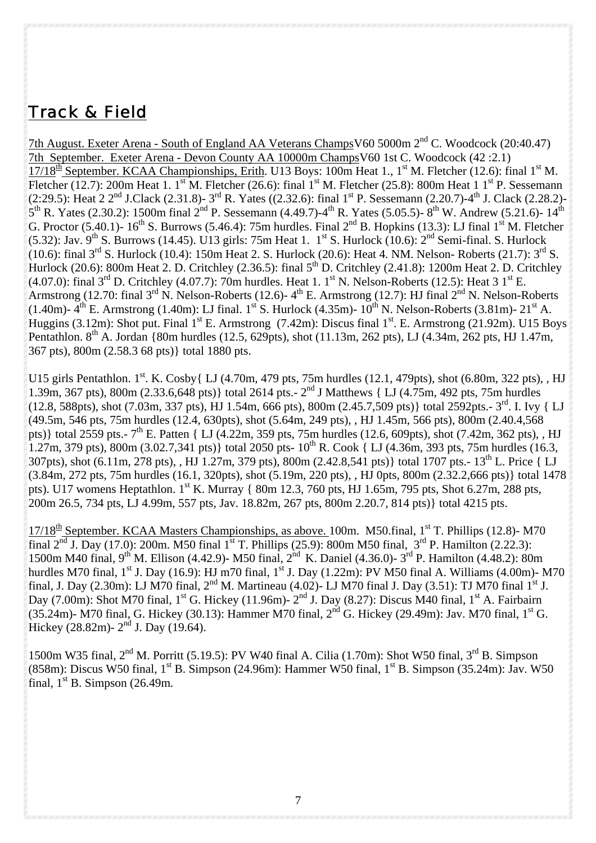## Track & Field

7th August. Exeter Arena - South of England AA Veterans ChampsV60 5000m 2nd C. Woodcock (20:40.47) 7th September. Exeter Arena - Devon County AA 10000m ChampsV60 1st C. Woodcock (42 :2.1) 17/18<sup>th</sup> September. KCAA Championships, Erith. U13 Boys: 100m Heat 1., 1<sup>st</sup> M. Fletcher (12.6): final 1<sup>st</sup> M. Fletcher (12.7): 200m Heat 1. 1<sup>st</sup> M. Fletcher (26.6): final 1<sup>st</sup> M. Fletcher (25.8): 800m Heat 1 1<sup>st</sup> P. Sessemann (2:29.5): Heat 2  $2^{nd}$  J.Clack (2.31.8)-  $3^{rd}$  R. Yates ((2.32.6): final  $1^{st}$  P. Sessemann (2.20.7)-4<sup>th</sup> J. Clack (2.28.2)- $5^{th}$  R. Yates (2.30.2): 1500m final 2<sup>nd</sup> P. Sessemann (4.49.7)-4<sup>th</sup> R. Yates (5.05.5)- 8<sup>th</sup> W. Andrew (5.21.6)- 14<sup>th</sup> G. Proctor (5.40.1)-  $16^{th}$  S. Burrows (5.46.4): 75m hurdles. Final  $2^{nd}$  B. Hopkins (13.3): LJ final  $1^{st}$  M. Fletcher (5.32): Jav. 9<sup>th</sup> S. Burrows (14.45). U13 girls: 75m Heat 1. 1<sup>st</sup> S. Hurlock (10.6): 2<sup>nd</sup> Semi-final. S. Hurlock (10.6): final 3<sup>rd</sup> S. Hurlock (10.4): 150m Heat 2. S. Hurlock (20.6): Heat 4. NM. Nelson- Roberts (21.7): 3<sup>rd</sup> S. Hurlock (20.6): 800m Heat 2. D. Critchley (2.36.5): final  $5<sup>th</sup>$  D. Critchley (2.41.8): 1200m Heat 2. D. Critchley (4.07.0): final  $3^{rd}$  D. Critchley (4.07.7): 70m hurdles. Heat 1. 1<sup>st</sup> N. Nelson-Roberts (12.5): Heat 3 1<sup>st</sup> E. Armstrong (12.70: final 3<sup>rd</sup> N. Nelson-Roberts (12.6)- 4<sup>th</sup> E. Armstrong (12.7): HJ final 2<sup>nd</sup> N. Nelson-Roberts (1.40m)-  $4^{th}$  E. Armstrong (1.40m): LJ final. 1st S. Hurlock (4.35m)-  $10^{th}$  N. Nelson-Roberts (3.81m)- 21st A. Huggins (3.12m): Shot put. Final  $1^{st}$  E. Armstrong (7.42m): Discus final  $1^{st}$ . E. Armstrong (21.92m). U15 Boys Pentathlon. 8<sup>th</sup> A. Jordan {80m hurdles (12.5, 629pts), shot (11.13m, 262 pts), LJ (4.34m, 262 pts, HJ 1.47m, 367 pts), 800m (2.58.3 68 pts)} total 1880 pts.

U15 girls Pentathlon. 1<sup>st</sup>. K. Cosby{ LJ (4.70m, 479 pts, 75m hurdles (12.1, 479pts), shot (6.80m, 322 pts), , HJ 1.39m, 367 pts), 800m (2.33.6,648 pts)} total 2614 pts. - 2<sup>nd</sup> J Matthews { LJ (4.75m, 492 pts, 75m hurdles  $(12.8, 588 \text{pts})$ , shot  $(7.03 \text{m}, 337 \text{ pts})$ , HJ 1.54m, 666 pts), 800m  $(2.45.7,509 \text{ pts})$  total 2592pts.-3<sup>rd</sup>. I. Ivy { LJ (49.5m, 546 pts, 75m hurdles (12.4, 630pts), shot (5.64m, 249 pts), , HJ 1.45m, 566 pts), 800m (2.40.4,568 pts)} total 2559 pts.-  $7^{th}$  E. Patten { LJ (4.22m, 359 pts, 75m hurdles (12.6, 609pts), shot (7.42m, 362 pts), , HJ 1.27m, 379 pts),  $800m (3.02.7,341 \text{ pts})$  total 2050 pts-  $10^{th}$  R. Cook { LJ (4.36m, 393 pts, 75m hurdles (16.3, 307pts), shot (6.11m, 278 pts), , HJ 1.27m, 379 pts), 800m (2.42.8,541 pts)} total 1707 pts.- 13th L. Price { LJ (3.84m, 272 pts, 75m hurdles (16.1, 320pts), shot (5.19m, 220 pts), , HJ 0pts, 800m (2.32.2,666 pts)} total 1478 pts). U17 womens Heptathlon. 1<sup>st</sup> K. Murray { 80m 12.3, 760 pts, HJ 1.65m, 795 pts, Shot 6.27m, 288 pts, 200m 26.5, 734 pts, LJ 4.99m, 557 pts, Jav. 18.82m, 267 pts, 800m 2.20.7, 814 pts)} total 4215 pts.

 $17/18^{\text{th}}$  September. KCAA Masters Championships, as above. 100m. M50.final, 1<sup>st</sup> T. Phillips (12.8)- M70 final  $2^{nd}$  J. Day (17.0): 200m. M50 final 1<sup>st</sup> T. Phillips (25.9): 800m M50 final,  $3^{rd}$  P. Hamilton (2.22.3): 1500m M40 final, 9<sup>th</sup> M. Ellison (4.42.9)- M50 final, 2<sup>nd</sup> K. Daniel (4.36.0)- 3<sup>rd</sup> P. Hamilton (4.48.2): 80m hurdles M70 final,  $1^{st}$  J. Day (16.9): HJ m70 final,  $1^{st}$  J. Day (1.22m): PV M50 final A. Williams (4.00m)- M70 final, J. Day (2.30m): LJ M70 final,  $2^{nd}$  M. Martineau (4.02)- LJ M70 final J. Day (3.51): TJ M70 final  $1^{st}$  J. Day  $(7.00m)$ : Shot M70 final,  $1^{\text{st}}$  G. Hickey  $(11.96m)$ -  $2^{\text{nd}}$  J. Day  $(8.27)$ : Discus M40 final,  $1^{\text{st}}$  A. Fairbairn  $(35.24\text{m})$ - M70 final, G. Hickey (30.13): Hammer M70 final,  $2^{\text{nd}}$  G. Hickey (29.49m): Jav. M70 final,  $1^{\text{st}}$  G. Hickey (28.82m) -  $2<sup>nd</sup>$  J. Day (19.64).

1500m W35 final,  $2<sup>nd</sup>$  M. Porritt (5.19.5): PV W40 final A. Cilia (1.70m): Shot W50 final, 3<sup>rd</sup> B. Simpson (858m): Discus W50 final,  $1^{st}$  B. Simpson (24.96m): Hammer W50 final,  $1^{st}$  B. Simpson (35.24m): Jav. W50 final,  $1<sup>st</sup>$  B. Simpson (26.49m.